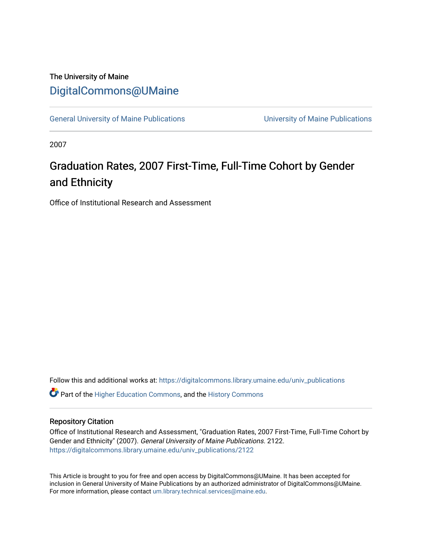## The University of Maine [DigitalCommons@UMaine](https://digitalcommons.library.umaine.edu/)

[General University of Maine Publications](https://digitalcommons.library.umaine.edu/univ_publications) [University of Maine Publications](https://digitalcommons.library.umaine.edu/umaine_publications) 

2007

# Graduation Rates, 2007 First-Time, Full-Time Cohort by Gender and Ethnicity

Office of Institutional Research and Assessment

Follow this and additional works at: [https://digitalcommons.library.umaine.edu/univ\\_publications](https://digitalcommons.library.umaine.edu/univ_publications?utm_source=digitalcommons.library.umaine.edu%2Funiv_publications%2F2122&utm_medium=PDF&utm_campaign=PDFCoverPages) 

**C** Part of the [Higher Education Commons,](http://network.bepress.com/hgg/discipline/1245?utm_source=digitalcommons.library.umaine.edu%2Funiv_publications%2F2122&utm_medium=PDF&utm_campaign=PDFCoverPages) and the [History Commons](http://network.bepress.com/hgg/discipline/489?utm_source=digitalcommons.library.umaine.edu%2Funiv_publications%2F2122&utm_medium=PDF&utm_campaign=PDFCoverPages)

### Repository Citation

Office of Institutional Research and Assessment, "Graduation Rates, 2007 First-Time, Full-Time Cohort by Gender and Ethnicity" (2007). General University of Maine Publications. 2122. [https://digitalcommons.library.umaine.edu/univ\\_publications/2122](https://digitalcommons.library.umaine.edu/univ_publications/2122?utm_source=digitalcommons.library.umaine.edu%2Funiv_publications%2F2122&utm_medium=PDF&utm_campaign=PDFCoverPages)

This Article is brought to you for free and open access by DigitalCommons@UMaine. It has been accepted for inclusion in General University of Maine Publications by an authorized administrator of DigitalCommons@UMaine. For more information, please contact [um.library.technical.services@maine.edu](mailto:um.library.technical.services@maine.edu).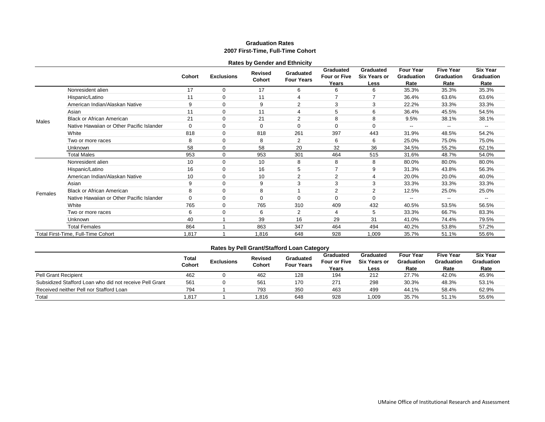#### **Graduation Rates 2007 First-Time, Full-Time Cohort**

|         |                                           |               |                   | <b>Rates by Gender and Ethnicity</b> |                                |                                    |                                          |                                               |                                               |                                              |
|---------|-------------------------------------------|---------------|-------------------|--------------------------------------|--------------------------------|------------------------------------|------------------------------------------|-----------------------------------------------|-----------------------------------------------|----------------------------------------------|
|         |                                           | <b>Cohort</b> | <b>Exclusions</b> | Revised<br>Cohort                    | Graduated<br><b>Four Years</b> | Graduated<br>Four or Five<br>Years | Graduated<br><b>Six Years or</b><br>Less | <b>Four Year</b><br><b>Graduation</b><br>Rate | <b>Five Year</b><br><b>Graduation</b><br>Rate | <b>Six Year</b><br><b>Graduation</b><br>Rate |
|         | Nonresident alien                         | 17            | 0                 | 17                                   | 6                              | 6                                  | 6                                        | 35.3%                                         | 35.3%                                         | 35.3%                                        |
|         | Hispanic/Latino                           | 11            | $\Omega$          | 11                                   | 4                              |                                    |                                          | 36.4%                                         | 63.6%                                         | 63.6%                                        |
|         | American Indian/Alaskan Native            | 9             | $\Omega$          | 9                                    | $\overline{2}$                 | 3                                  | 3                                        | 22.2%                                         | 33.3%                                         | 33.3%                                        |
|         | Asian                                     | 11            | 0                 | 11                                   | 4                              | 5                                  | 6                                        | 36.4%                                         | 45.5%                                         | 54.5%                                        |
| Males   | <b>Black or African American</b>          | 21            | $\Omega$          | 21                                   | $\overline{2}$                 | 8                                  | 8                                        | 9.5%                                          | 38.1%                                         | 38.1%                                        |
|         | Native Hawaiian or Other Pacific Islander | $\Omega$      | $\Omega$          | $\Omega$                             | 0                              | 0                                  | 0                                        |                                               |                                               |                                              |
|         | White                                     | 818           | $\Omega$          | 818                                  | 261                            | 397                                | 443                                      | 31.9%                                         | 48.5%                                         | 54.2%                                        |
|         | Two or more races                         | 8             | $\Omega$          | 8                                    | $\overline{2}$                 | 6                                  | 6                                        | 25.0%                                         | 75.0%                                         | 75.0%                                        |
|         | <b>Unknown</b>                            | 58            | $\mathbf 0$       | 58                                   | 20                             | 32                                 | 36                                       | 34.5%                                         | 55.2%                                         | 62.1%                                        |
|         | <b>Total Males</b>                        | 953           | $\Omega$          | 953                                  | 301                            | 464                                | 515                                      | 31.6%                                         | 48.7%                                         | 54.0%                                        |
|         | Nonresident alien                         | 10            | $\Omega$          | 10                                   | 8                              | 8                                  | 8                                        | 80.0%                                         | 80.0%                                         | 80.0%                                        |
|         | Hispanic/Latino                           | 16            | $\Omega$          | 16                                   | 5                              | 7                                  | 9                                        | 31.3%                                         | 43.8%                                         | 56.3%                                        |
|         | American Indian/Alaskan Native            | 10            | $\Omega$          | 10                                   | 2                              | 2                                  | $\overline{4}$                           | 20.0%                                         | 20.0%                                         | 40.0%                                        |
|         | Asian                                     | 9             | $\Omega$          | 9                                    | 3                              | 3                                  | 3                                        | 33.3%                                         | 33.3%                                         | 33.3%                                        |
| Females | <b>Black or African American</b>          | 8             | $\Omega$          | 8                                    |                                | 2                                  | $\overline{2}$                           | 12.5%                                         | 25.0%                                         | 25.0%                                        |
|         | Native Hawaiian or Other Pacific Islander | $\Omega$      | $\Omega$          | $\Omega$                             | $\Omega$                       | $\Omega$                           | 0                                        |                                               | $- -$                                         |                                              |
|         | White                                     | 765           | 0                 | 765                                  | 310                            | 409                                | 432                                      | 40.5%                                         | 53.5%                                         | 56.5%                                        |
|         | Two or more races                         | 6             | $\Omega$          | 6                                    | 2                              | 4                                  | 5                                        | 33.3%                                         | 66.7%                                         | 83.3%                                        |
|         | <b>Unknown</b>                            | 40            |                   | 39                                   | 16                             | 29                                 | 31                                       | 41.0%                                         | 74.4%                                         | 79.5%                                        |
|         | <b>Total Females</b>                      | 864           |                   | 863                                  | 347                            | 464                                | 494                                      | 40.2%                                         | 53.8%                                         | 57.2%                                        |
|         | Total First-Time, Full-Time Cohort        | 1,817         |                   | 1,816                                | 648                            | 928                                | 1,009                                    | 35.7%                                         | 51.1%                                         | 55.6%                                        |

#### **Total Cohort Exclusions Revised Cohort Graduated Four Years Graduated Four or Five Six Years or Graduation Years Graduated Less Four Year Rate Rates by Pell Grant/Stafford Loan Category**

|                                                         | Conort | Conort | <b>Four Years</b> | Years | Less  | Rate  | Rate  | Rate  |
|---------------------------------------------------------|--------|--------|-------------------|-------|-------|-------|-------|-------|
| <b>Pell Grant Recipient</b>                             | 462    | 462    | 128               | 194   | 212   | 27.7% | 42.0% | 45.9% |
| Subsidized Stafford Loan who did not receive Pell Grant | 561    | 561    | 170               | 271   | 298   | 30.3% | 48.3% | 53.1% |
| Received neither Pell nor Stafford Loan                 | 794    | 793    | 350               | 463   | 499   | 44.1% | 58.4% | 62.9% |
| Total                                                   | 1.817  | .816   | 648               | 928   | 1,009 | 35.7% | 51.1% | 55.6% |

**Five Year Graduation** 

**Six Year Graduation**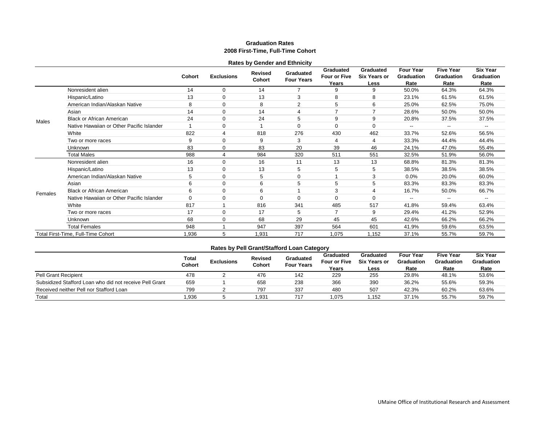#### **Graduation Rates 2008 First-Time, Full-Time Cohort**

|         |                                           |          |                   | <b>Rates by Gender and Ethnicity</b> |                                |                                    |                                          |                                               |                                               |                                              |
|---------|-------------------------------------------|----------|-------------------|--------------------------------------|--------------------------------|------------------------------------|------------------------------------------|-----------------------------------------------|-----------------------------------------------|----------------------------------------------|
|         |                                           | Cohort   | <b>Exclusions</b> | <b>Revised</b><br>Cohort             | Graduated<br><b>Four Years</b> | Graduated<br>Four or Five<br>Years | Graduated<br><b>Six Years or</b><br>Less | <b>Four Year</b><br><b>Graduation</b><br>Rate | <b>Five Year</b><br><b>Graduation</b><br>Rate | <b>Six Year</b><br><b>Graduation</b><br>Rate |
|         | Nonresident alien                         | 14       | 0                 | 14                                   |                                | 9                                  | 9                                        | 50.0%                                         | 64.3%                                         | 64.3%                                        |
|         | Hispanic/Latino                           | 13       | $\mathbf 0$       | 13                                   | 3                              | 8                                  | 8                                        | 23.1%                                         | 61.5%                                         | 61.5%                                        |
|         | American Indian/Alaskan Native            | 8        | $\Omega$          | 8                                    | $\overline{2}$                 | 5                                  | 6                                        | 25.0%                                         | 62.5%                                         | 75.0%                                        |
|         | Asian                                     | 14       | $\Omega$          | 14                                   | 4                              | 7                                  |                                          | 28.6%                                         | 50.0%                                         | 50.0%                                        |
| Males   | <b>Black or African American</b>          | 24       | 0                 | 24                                   | 5                              | 9                                  | 9                                        | 20.8%                                         | 37.5%                                         | 37.5%                                        |
|         | Native Hawaiian or Other Pacific Islander |          | $\Omega$          |                                      | $\Omega$                       | $\Omega$                           | 0                                        | --                                            | --                                            |                                              |
|         | White                                     | 822      | 4                 | 818                                  | 276                            | 430                                | 462                                      | 33.7%                                         | 52.6%                                         | 56.5%                                        |
|         | Two or more races                         | 9        | $\mathbf 0$       | 9                                    | 3                              | 4                                  | 4                                        | 33.3%                                         | 44.4%                                         | 44.4%                                        |
|         | <b>Unknown</b>                            | 83       | $\mathbf 0$       | 83                                   | 20                             | 39                                 | 46                                       | 24.1%                                         | 47.0%                                         | 55.4%                                        |
|         | <b>Total Males</b>                        | 988      | 4                 | 984                                  | 320                            | 511                                | 551                                      | 32.5%                                         | 51.9%                                         | 56.0%                                        |
|         | Nonresident alien                         | 16       | $\Omega$          | 16                                   | 11                             | 13                                 | 13                                       | 68.8%                                         | 81.3%                                         | 81.3%                                        |
|         | Hispanic/Latino                           | 13       | 0                 | 13                                   | 5                              | 5                                  | 5                                        | 38.5%                                         | 38.5%                                         | 38.5%                                        |
|         | American Indian/Alaskan Native            | 5        | $\mathbf 0$       | 5                                    | $\mathbf 0$                    |                                    | 3                                        | 0.0%                                          | 20.0%                                         | 60.0%                                        |
|         | Asian                                     | 6        | 0                 | 6                                    | 5                              | 5                                  | 5                                        | 83.3%                                         | 83.3%                                         | 83.3%                                        |
| Females | <b>Black or African American</b>          | 6        | $\mathbf 0$       | 6                                    |                                | 3                                  | 4                                        | 16.7%                                         | 50.0%                                         | 66.7%                                        |
|         | Native Hawaiian or Other Pacific Islander | $\Omega$ | $\Omega$          | $\Omega$                             | 0                              | $\Omega$                           | 0                                        |                                               |                                               |                                              |
|         | White                                     | 817      |                   | 816                                  | 341                            | 485                                | 517                                      | 41.8%                                         | 59.4%                                         | 63.4%                                        |
|         | Two or more races                         | 17       | 0                 | 17                                   | 5                              | 7                                  | 9                                        | 29.4%                                         | 41.2%                                         | 52.9%                                        |
|         | <b>Unknown</b>                            | 68       | $\mathbf 0$       | 68                                   | 29                             | 45                                 | 45                                       | 42.6%                                         | 66.2%                                         | 66.2%                                        |
|         | <b>Total Females</b>                      | 948      |                   | 947                                  | 397                            | 564                                | 601                                      | 41.9%                                         | 59.6%                                         | 63.5%                                        |
|         | Total First-Time, Full-Time Cohort        | 1,936    | 5                 | 1,931                                | 717                            | 1,075                              | 1,152                                    | 37.1%                                         | 55.7%                                         | 59.7%                                        |

|                                                         | <b>Total</b><br>Cohort | <b>Exclusions</b> | <b>Revised</b><br>Cohort | Graduated<br><b>Four Years</b> | Graduated<br><b>Four or Five</b><br>Years | Graduated<br><b>Six Years or</b><br>Less | <b>Four Year</b><br>Graduation<br>Rate | <b>Five Year</b><br><b>Graduation</b><br>Rate | <b>Six Year</b><br>Graduation<br>Rate |
|---------------------------------------------------------|------------------------|-------------------|--------------------------|--------------------------------|-------------------------------------------|------------------------------------------|----------------------------------------|-----------------------------------------------|---------------------------------------|
| <b>Pell Grant Recipient</b>                             | 478                    |                   | 476                      | 142                            | 229                                       | 255                                      | 29.8%                                  | 48.1%                                         | 53.6%                                 |
| Subsidized Stafford Loan who did not receive Pell Grant | 659                    |                   | 658                      | 238                            | 366                                       | 390                                      | 36.2%                                  | 55.6%                                         | 59.3%                                 |
| Received neither Pell nor Stafford Loan                 | 799                    |                   | 797                      | 337                            | 480                                       | 507                                      | 42.3%                                  | 60.2%                                         | 63.6%                                 |
| Total                                                   | 1.936                  |                   | 1,931                    | 717                            | .075                                      | 1,152                                    | 37.1%                                  | 55.7%                                         | 59.7%                                 |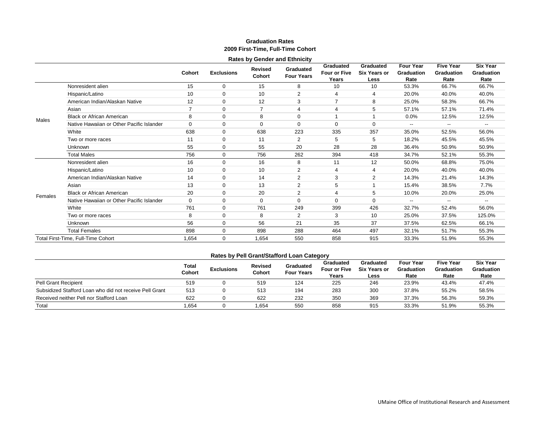#### **Graduation Rates 2009 First-Time, Full-Time Cohort**

|         |                                           |                |                   |                   | <b>Rates by Gender and Ethnicity</b> |                                           |                                          |                                               |                                               |                                              |
|---------|-------------------------------------------|----------------|-------------------|-------------------|--------------------------------------|-------------------------------------------|------------------------------------------|-----------------------------------------------|-----------------------------------------------|----------------------------------------------|
|         |                                           | <b>Cohort</b>  | <b>Exclusions</b> | Revised<br>Cohort | Graduated<br><b>Four Years</b>       | Graduated<br><b>Four or Five</b><br>Years | Graduated<br><b>Six Years or</b><br>Less | <b>Four Year</b><br><b>Graduation</b><br>Rate | <b>Five Year</b><br><b>Graduation</b><br>Rate | <b>Six Year</b><br><b>Graduation</b><br>Rate |
|         | Nonresident alien                         | 15             | $\Omega$          | 15                | 8                                    | 10                                        | 10                                       | 53.3%                                         | 66.7%                                         | 66.7%                                        |
|         | Hispanic/Latino                           | 10             | $\Omega$          | 10                | $\overline{2}$                       | 4                                         | 4                                        | 20.0%                                         | 40.0%                                         | 40.0%                                        |
|         | American Indian/Alaskan Native            | 12             | $\Omega$          | 12                | 3                                    | $\overline{7}$                            | 8                                        | 25.0%                                         | 58.3%                                         | 66.7%                                        |
|         | Asian                                     | $\overline{7}$ | $\Omega$          | $\overline{7}$    | $\overline{4}$                       | 4                                         | 5                                        | 57.1%                                         | 57.1%                                         | 71.4%                                        |
| Males   | <b>Black or African American</b>          | 8              | $\Omega$          | 8                 | $\Omega$                             |                                           |                                          | 0.0%                                          | 12.5%                                         | 12.5%                                        |
|         | Native Hawaiian or Other Pacific Islander | 0              | $\Omega$          | $\Omega$          | $\mathbf 0$                          | $\Omega$                                  | $\mathbf 0$                              | $\overline{\phantom{a}}$                      | --                                            | $\overline{\phantom{a}}$                     |
|         | White                                     | 638            | $\Omega$          | 638               | 223                                  | 335                                       | 357                                      | 35.0%                                         | 52.5%                                         | 56.0%                                        |
|         | Two or more races                         | 11             | $\Omega$          | 11                | $\overline{2}$                       | 5                                         | 5                                        | 18.2%                                         | 45.5%                                         | 45.5%                                        |
|         | Unknown                                   | 55             | $\Omega$          | 55                | 20                                   | 28                                        | 28                                       | 36.4%                                         | 50.9%                                         | 50.9%                                        |
|         | <b>Total Males</b>                        | 756            | $\Omega$          | 756               | 262                                  | 394                                       | 418                                      | 34.7%                                         | 52.1%                                         | 55.3%                                        |
|         | Nonresident alien                         | 16             | $\Omega$          | 16                | 8                                    | 11                                        | 12                                       | 50.0%                                         | 68.8%                                         | 75.0%                                        |
|         | Hispanic/Latino                           | 10             | $\Omega$          | 10                | $\overline{2}$                       | $\overline{4}$                            | 4                                        | 20.0%                                         | 40.0%                                         | 40.0%                                        |
|         | American Indian/Alaskan Native            | 14             | 0                 | 14                | $\overline{2}$                       | 3                                         | $\overline{2}$                           | 14.3%                                         | 21.4%                                         | 14.3%                                        |
|         | Asian                                     | 13             | 0                 | 13                | $\overline{2}$                       | 5                                         |                                          | 15.4%                                         | 38.5%                                         | 7.7%                                         |
| Females | <b>Black or African American</b>          | 20             | $\Omega$          | 20                | $\overline{2}$                       | 4                                         | 5                                        | 10.0%                                         | 20.0%                                         | 25.0%                                        |
|         | Native Hawaiian or Other Pacific Islander | 0              | 0                 | $\Omega$          | $\Omega$                             | $\Omega$                                  | 0                                        | $\overline{\phantom{a}}$                      | $-$                                           | $\overline{\phantom{a}}$                     |
|         | White                                     | 761            | 0                 | 761               | 249                                  | 399                                       | 426                                      | 32.7%                                         | 52.4%                                         | 56.0%                                        |
|         | Two or more races                         | 8              | 0                 | 8                 | $\overline{2}$                       | 3                                         | 10                                       | 25.0%                                         | 37.5%                                         | 125.0%                                       |
|         | Unknown                                   | 56             | $\Omega$          | 56                | 21                                   | 35                                        | 37                                       | 37.5%                                         | 62.5%                                         | 66.1%                                        |
|         | <b>Total Females</b>                      | 898            | 0                 | 898               | 288                                  | 464                                       | 497                                      | 32.1%                                         | 51.7%                                         | 55.3%                                        |
|         | Total First-Time, Full-Time Cohort        | 1,654          | 0                 | 1,654             | 550                                  | 858                                       | 915                                      | 33.3%                                         | 51.9%                                         | 55.3%                                        |

|                                                         | Total<br>Cohort | <b>Exclusions</b> | <b>Revised</b><br>Cohort | Graduated<br><b>Four Years</b> | $\sim$<br>Graduated<br><b>Four or Five</b><br>Years | Graduated<br><b>Six Years or</b><br>Less | <b>Four Year</b><br>Graduation<br>Rate | <b>Five Year</b><br>Graduation<br>Rate | Six Year<br>Graduation<br>Rate |
|---------------------------------------------------------|-----------------|-------------------|--------------------------|--------------------------------|-----------------------------------------------------|------------------------------------------|----------------------------------------|----------------------------------------|--------------------------------|
| <b>Pell Grant Recipient</b>                             | 519             |                   | 519                      | 124                            | 225                                                 | 246                                      | 23.9%                                  | 43.4%                                  | 47.4%                          |
| Subsidized Stafford Loan who did not receive Pell Grant | 513             |                   | 513                      | 194                            | 283                                                 | 300                                      | 37.8%                                  | 55.2%                                  | 58.5%                          |
| Received neither Pell nor Stafford Loan                 | 622             |                   | 622                      | 232                            | 350                                                 | 369                                      | 37.3%                                  | 56.3%                                  | 59.3%                          |
| Total                                                   | .654            |                   | 1.654                    | 550                            | 858                                                 | 915                                      | 33.3%                                  | 51.9%                                  | 55.3%                          |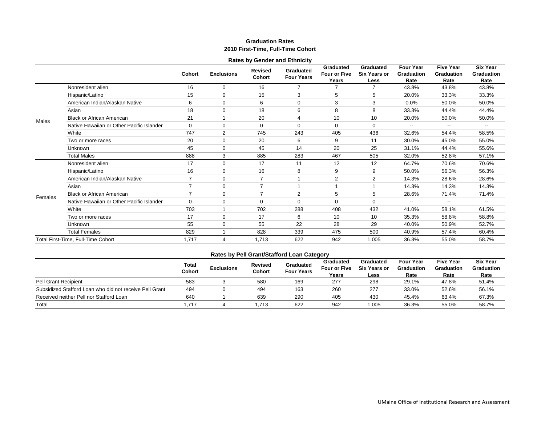#### **Graduation Rates 2010 First-Time, Full-Time Cohort**

|                           |                                           |                |                   |                                 | <b>Rates by Gender and Ethnicity</b> |                                    |                                          |                                               |                                               |                                              |
|---------------------------|-------------------------------------------|----------------|-------------------|---------------------------------|--------------------------------------|------------------------------------|------------------------------------------|-----------------------------------------------|-----------------------------------------------|----------------------------------------------|
|                           |                                           | Cohort         | <b>Exclusions</b> | <b>Revised</b><br><b>Cohort</b> | Graduated<br><b>Four Years</b>       | Graduated<br>Four or Five<br>Years | Graduated<br><b>Six Years or</b><br>Less | <b>Four Year</b><br><b>Graduation</b><br>Rate | <b>Five Year</b><br><b>Graduation</b><br>Rate | <b>Six Year</b><br><b>Graduation</b><br>Rate |
|                           | Nonresident alien                         | 16             | $\mathbf 0$       | 16                              | $\overline{7}$                       | 7                                  | $\overline{7}$                           | 43.8%                                         | 43.8%                                         | 43.8%                                        |
|                           | Hispanic/Latino                           | 15             | $\Omega$          | 15                              | 3                                    | 5                                  | 5                                        | 20.0%                                         | 33.3%                                         | 33.3%                                        |
|                           | American Indian/Alaskan Native            | 6              | $\Omega$          | 6                               | $\mathbf 0$                          | 3                                  | 3                                        | 0.0%                                          | 50.0%                                         | 50.0%                                        |
|                           | Asian                                     | 18             | $\mathbf 0$       | 18                              | 6                                    | 8                                  | 8                                        | 33.3%                                         | 44.4%                                         | 44.4%                                        |
|                           | <b>Black or African American</b>          | 21             |                   | 20                              | 4                                    | 10                                 | 10                                       | 20.0%                                         | 50.0%                                         | 50.0%                                        |
|                           | Native Hawaiian or Other Pacific Islander | $\mathbf 0$    | $\Omega$          | $\Omega$                        | $\Omega$                             | $\Omega$                           | $\mathbf 0$                              | --                                            | $\overline{\phantom{a}}$                      | $\overline{\phantom{a}}$                     |
|                           | White                                     | 747            | $\overline{2}$    | 745                             | 243                                  | 405                                | 436                                      | 32.6%                                         | 54.4%                                         | 58.5%                                        |
|                           | Two or more races                         | 20             | $\Omega$          | 20                              | 6                                    | 9                                  | 11                                       | 30.0%                                         | 45.0%                                         | 55.0%                                        |
| Males<br>Asian<br>Females | <b>Unknown</b>                            | 45             | $\mathbf 0$       | 45                              | 14                                   | 20                                 | 25                                       | 31.1%                                         | 44.4%                                         | 55.6%                                        |
|                           | <b>Total Males</b>                        | 888            | 3                 | 885                             | 283                                  | 467                                | 505                                      | 32.0%                                         | 52.8%                                         | 57.1%                                        |
|                           | Nonresident alien                         | 17             | $\Omega$          | 17                              | 11                                   | 12                                 | 12                                       | 64.7%                                         | 70.6%                                         | 70.6%                                        |
|                           | Hispanic/Latino                           | 16             | $\Omega$          | 16                              | 8                                    | 9                                  | 9                                        | 50.0%                                         | 56.3%                                         | 56.3%                                        |
|                           | American Indian/Alaskan Native            | $\overline{7}$ | $\Omega$          | 7                               |                                      | 2                                  | $\overline{2}$                           | 14.3%                                         | 28.6%                                         | 28.6%                                        |
|                           |                                           | $\overline{7}$ | $\Omega$          | 7                               |                                      |                                    |                                          | 14.3%                                         | 14.3%                                         | 14.3%                                        |
|                           | <b>Black or African American</b>          | $\overline{7}$ | $\Omega$          | 7                               | $\overline{2}$                       | 5                                  | 5                                        | 28.6%                                         | 71.4%                                         | 71.4%                                        |
|                           | Native Hawaiian or Other Pacific Islander | $\mathbf 0$    | $\Omega$          | $\Omega$                        | $\Omega$                             | $\Omega$                           | $\Omega$                                 | --                                            | $\overline{\phantom{a}}$                      | Ξ.                                           |
|                           | White                                     | 703            |                   | 702                             | 288                                  | 408                                | 432                                      | 41.0%                                         | 58.1%                                         | 61.5%                                        |
|                           | Two or more races                         | 17             | $\Omega$          | 17                              | 6                                    | 10                                 | 10                                       | 35.3%                                         | 58.8%                                         | 58.8%                                        |
|                           | <b>Unknown</b>                            | 55             | $\mathbf 0$       | 55                              | 22                                   | 28                                 | 29                                       | 40.0%                                         | 50.9%                                         | 52.7%                                        |
|                           | <b>Total Females</b>                      | 829            |                   | 828                             | 339                                  | 475                                | 500                                      | 40.9%                                         | 57.4%                                         | 60.4%                                        |
|                           | Total First-Time, Full-Time Cohort        | 1,717          | 4                 | 1,713                           | 622                                  | 942                                | 1,005                                    | 36.3%                                         | 55.0%                                         | 58.7%                                        |

|                                                         | <b>Total</b><br>Cohort | <b>Exclusions</b> | <b>Revised</b><br>Cohort | Graduated<br><b>Four Years</b> | Graduated<br><b>Four or Five</b><br>Years | Graduated<br><b>Six Years or</b><br>Less | <b>Four Year</b><br>Graduation<br>Rate | <b>Five Year</b><br><b>Graduation</b><br>Rate | Six Year<br>Graduation<br>Rate |
|---------------------------------------------------------|------------------------|-------------------|--------------------------|--------------------------------|-------------------------------------------|------------------------------------------|----------------------------------------|-----------------------------------------------|--------------------------------|
| <b>Pell Grant Recipient</b>                             | 583                    |                   | 580                      | 169                            | 277                                       | 298                                      | 29.1%                                  | 47.8%                                         | 51.4%                          |
| Subsidized Stafford Loan who did not receive Pell Grant | 494                    |                   | 494                      | 163                            | 260                                       | 277                                      | 33.0%                                  | 52.6%                                         | 56.1%                          |
| Received neither Pell nor Stafford Loan                 | 640                    |                   | 639                      | 290                            | 405                                       | 430                                      | 45.4%                                  | 63.4%                                         | 67.3%                          |
| Total                                                   | 1.717                  |                   | .713                     | 622                            | 942                                       | 1,005                                    | 36.3%                                  | 55.0%                                         | 58.7%                          |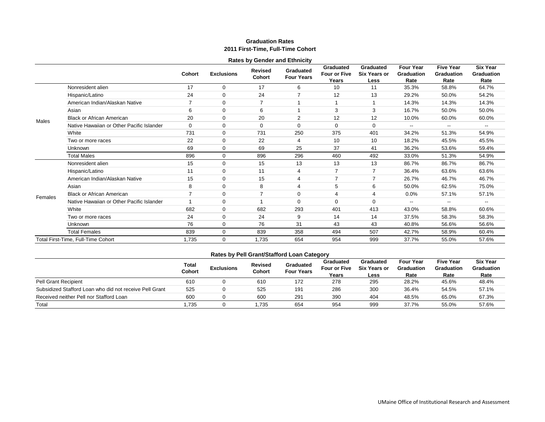#### **Graduation Rates 2011 First-Time, Full-Time Cohort**

|         |                                           |               |                   | <b>Rates by Gender and Ethnicity</b> |                                |                                    |                                          |                                        |                                        |                                              |
|---------|-------------------------------------------|---------------|-------------------|--------------------------------------|--------------------------------|------------------------------------|------------------------------------------|----------------------------------------|----------------------------------------|----------------------------------------------|
|         |                                           | <b>Cohort</b> | <b>Exclusions</b> | Revised<br>Cohort                    | Graduated<br><b>Four Years</b> | Graduated<br>Four or Five<br>Years | Graduated<br><b>Six Years or</b><br>Less | <b>Four Year</b><br>Graduation<br>Rate | <b>Five Year</b><br>Graduation<br>Rate | <b>Six Year</b><br><b>Graduation</b><br>Rate |
|         | Nonresident alien                         | 17            | $\Omega$          | 17                                   | 6                              | 10                                 | 11                                       | 35.3%                                  | 58.8%                                  | 64.7%                                        |
|         | Hispanic/Latino                           | 24            | 0                 | 24                                   |                                | 12                                 | 13                                       | 29.2%                                  | 50.0%                                  | 54.2%                                        |
|         | American Indian/Alaskan Native            | 7             | 0                 | $\overline{7}$                       |                                |                                    |                                          | 14.3%                                  | 14.3%                                  | 14.3%                                        |
|         | Asian                                     | 6             | 0                 | 6                                    |                                | 3                                  | 3                                        | 16.7%                                  | 50.0%                                  | 50.0%                                        |
| Males   | <b>Black or African American</b>          | 20            | 0                 | 20                                   | $\overline{2}$                 | 12                                 | 12                                       | 10.0%                                  | 60.0%                                  | 60.0%                                        |
|         | Native Hawaiian or Other Pacific Islander | $\mathbf 0$   | 0                 | $\Omega$                             | $\Omega$                       | $\Omega$                           | $\Omega$                                 | --                                     | $\overline{\phantom{a}}$               | $\overline{\phantom{a}}$                     |
|         | White                                     | 731           | 0                 | 731                                  | 250                            | 375                                | 401                                      | 34.2%                                  | 51.3%                                  | 54.9%                                        |
|         | Two or more races                         | 22            | $\mathbf 0$       | 22                                   | $\overline{4}$                 | 10                                 | 10                                       | 18.2%                                  | 45.5%                                  | 45.5%                                        |
|         | <b>Unknown</b>                            | 69            | 0                 | 69                                   | 25                             | 37                                 | 41                                       | 36.2%                                  | 53.6%                                  | 59.4%                                        |
|         | <b>Total Males</b>                        | 896           | $\Omega$          | 896                                  | 296                            | 460                                | 492                                      | 33.0%                                  | 51.3%                                  | 54.9%                                        |
|         | Nonresident alien                         | 15            | 0                 | 15                                   | 13                             | 13                                 | 13                                       | 86.7%                                  | 86.7%                                  | 86.7%                                        |
|         | Hispanic/Latino                           | 11            | 0                 | 11                                   | $\overline{4}$                 | $\overline{7}$                     | $\overline{7}$                           | 36.4%                                  | 63.6%                                  | 63.6%                                        |
|         | American Indian/Alaskan Native            | 15            | 0                 | 15                                   | $\overline{4}$                 | $\overline{7}$                     | 7                                        | 26.7%                                  | 46.7%                                  | 46.7%                                        |
|         | Asian                                     | 8             | $\Omega$          | 8                                    | $\overline{4}$                 | 5                                  | 6                                        | 50.0%                                  | 62.5%                                  | 75.0%                                        |
| Females | <b>Black or African American</b>          |               | 0                 | 7                                    | $\Omega$                       | 4                                  |                                          | 0.0%                                   | 57.1%                                  | 57.1%                                        |
|         | Native Hawaiian or Other Pacific Islander |               | $\Omega$          |                                      | $\Omega$                       | $\Omega$                           | $\Omega$                                 | $\overline{\phantom{a}}$               | --                                     | ٠.                                           |
|         | White                                     | 682           | $\Omega$          | 682                                  | 293                            | 401                                | 413                                      | 43.0%                                  | 58.8%                                  | 60.6%                                        |
|         | Two or more races                         | 24            | $\Omega$          | 24                                   | 9                              | 14                                 | 14                                       | 37.5%                                  | 58.3%                                  | 58.3%                                        |
|         | Unknown                                   | 76            | 0                 | 76                                   | 31                             | 43                                 | 43                                       | 40.8%                                  | 56.6%                                  | 56.6%                                        |
|         | <b>Total Females</b>                      | 839           | 0                 | 839                                  | 358                            | 494                                | 507                                      | 42.7%                                  | 58.9%                                  | 60.4%                                        |
|         | Total First-Time, Full-Time Cohort        | 1,735         | $\Omega$          | 1,735                                | 654                            | 954                                | 999                                      | 37.7%                                  | 55.0%                                  | 57.6%                                        |

|                                                         | <b>Total</b><br>Cohort | <b>Exclusions</b> | <b>Revised</b><br>Cohort | Graduated<br><b>Four Years</b> | Graduated<br><b>Four or Five</b><br>Years | Graduated<br><b>Six Years or</b><br>Less | <b>Four Year</b><br>Graduation<br>Rate | <b>Five Year</b><br><b>Graduation</b><br>Rate | Six Year<br>Graduation<br>Rate |
|---------------------------------------------------------|------------------------|-------------------|--------------------------|--------------------------------|-------------------------------------------|------------------------------------------|----------------------------------------|-----------------------------------------------|--------------------------------|
| <b>Pell Grant Recipient</b>                             | 610                    |                   | 610                      | 172                            | 278                                       | 295                                      | 28.2%                                  | 45.6%                                         | 48.4%                          |
| Subsidized Stafford Loan who did not receive Pell Grant | 525                    |                   | 525                      | 191                            | 286                                       | 300                                      | 36.4%                                  | 54.5%                                         | 57.1%                          |
| Received neither Pell nor Stafford Loan                 | 600                    |                   | 600                      | 291                            | 390                                       | 404                                      | 48.5%                                  | 65.0%                                         | 67.3%                          |
| Total                                                   | 1.735                  |                   | .735                     | 654                            | 954                                       | 999                                      | 37.7%                                  | 55.0%                                         | 57.6%                          |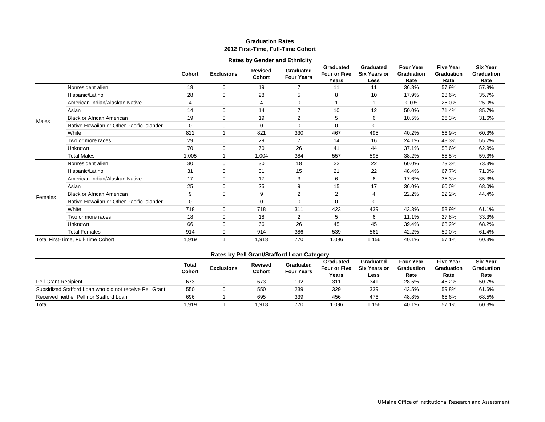#### **Graduation Rates 2012 First-Time, Full-Time Cohort**

|         |                                           |               |                   |                                 | <b>Rates by Gender and Ethnicity</b> |                                    |                                          |                                               |                                        |                                              |
|---------|-------------------------------------------|---------------|-------------------|---------------------------------|--------------------------------------|------------------------------------|------------------------------------------|-----------------------------------------------|----------------------------------------|----------------------------------------------|
|         |                                           | <b>Cohort</b> | <b>Exclusions</b> | <b>Revised</b><br><b>Cohort</b> | Graduated<br><b>Four Years</b>       | Graduated<br>Four or Five<br>Years | Graduated<br><b>Six Years or</b><br>Less | <b>Four Year</b><br><b>Graduation</b><br>Rate | <b>Five Year</b><br>Graduation<br>Rate | <b>Six Year</b><br><b>Graduation</b><br>Rate |
|         | Nonresident alien                         | 19            | 0                 | 19                              | 7                                    | 11                                 | 11                                       | 36.8%                                         | 57.9%                                  | 57.9%                                        |
|         | Hispanic/Latino                           | 28            | $\mathbf 0$       | 28                              | 5                                    | 8                                  | 10                                       | 17.9%                                         | 28.6%                                  | 35.7%                                        |
|         | American Indian/Alaskan Native            | 4             | 0                 | 4                               | 0                                    |                                    |                                          | 0.0%                                          | 25.0%                                  | 25.0%                                        |
|         | Asian                                     | 14            | $\mathbf 0$       | 14                              | $\overline{7}$                       | 10                                 | 12                                       | 50.0%                                         | 71.4%                                  | 85.7%                                        |
| Males   | <b>Black or African American</b>          | 19            | 0                 | 19                              | $\overline{2}$                       | 5                                  | 6                                        | 10.5%                                         | 26.3%                                  | 31.6%                                        |
|         | Native Hawaiian or Other Pacific Islander | $\mathbf 0$   | 0                 | $\mathbf 0$                     | $\mathbf 0$                          | 0                                  | $\mathbf 0$                              | --                                            |                                        |                                              |
|         | White                                     | 822           |                   | 821                             | 330                                  | 467                                | 495                                      | 40.2%                                         | 56.9%                                  | 60.3%                                        |
|         | Two or more races                         | 29            | 0                 | 29                              | $\overline{7}$                       | 14                                 | 16                                       | 24.1%                                         | 48.3%                                  | 55.2%                                        |
|         | Unknown                                   | 70            | 0                 | 70                              | 26                                   | 41                                 | 44                                       | 37.1%                                         | 58.6%                                  | 62.9%                                        |
|         | <b>Total Males</b>                        | 1,005         |                   | 1,004                           | 384                                  | 557                                | 595                                      | 38.2%                                         | 55.5%                                  | 59.3%                                        |
|         | Nonresident alien                         | 30            | $\mathbf 0$       | 30                              | 18                                   | 22                                 | 22                                       | 60.0%                                         | 73.3%                                  | 73.3%                                        |
|         | Hispanic/Latino                           | 31            | 0                 | 31                              | 15                                   | 21                                 | 22                                       | 48.4%                                         | 67.7%                                  | 71.0%                                        |
|         | American Indian/Alaskan Native            | 17            | $\mathbf 0$       | 17                              | 3                                    | 6                                  | 6                                        | 17.6%                                         | 35.3%                                  | 35.3%                                        |
|         | Asian                                     | 25            | $\mathbf 0$       | 25                              | 9                                    | 15                                 | 17                                       | 36.0%                                         | 60.0%                                  | 68.0%                                        |
| Females | <b>Black or African American</b>          | 9             | $\mathbf 0$       | 9                               | 2                                    | 2                                  | 4                                        | 22.2%                                         | 22.2%                                  | 44.4%                                        |
|         | Native Hawaiian or Other Pacific Islander | $\mathbf 0$   | $\mathbf 0$       | 0                               | $\mathbf 0$                          | 0                                  | 0                                        | --                                            | $-$                                    | $\overline{\phantom{a}}$                     |
|         | White                                     | 718           | 0                 | 718                             | 311                                  | 423                                | 439                                      | 43.3%                                         | 58.9%                                  | 61.1%                                        |
|         | Two or more races                         | 18            | $\mathbf 0$       | 18                              | $\overline{2}$                       | 5                                  | 6                                        | 11.1%                                         | 27.8%                                  | 33.3%                                        |
|         | Unknown                                   | 66            | 0                 | 66                              | 26                                   | 45                                 | 45                                       | 39.4%                                         | 68.2%                                  | 68.2%                                        |
|         | <b>Total Females</b>                      | 914           | 0                 | 914                             | 386                                  | 539                                | 561                                      | 42.2%                                         | 59.0%                                  | 61.4%                                        |
|         | Total First-Time, Full-Time Cohort        | 1,919         |                   | 1,918                           | 770                                  | 1,096                              | 1,156                                    | 40.1%                                         | 57.1%                                  | 60.3%                                        |

|                                                         | Total<br>Cohort | <b>Exclusions</b> | Revised<br>Cohort | Graduated<br><b>Four Years</b> | Graduated<br><b>Four or Five</b><br>Years | Graduated<br><b>Six Years or</b><br>Less | <b>Four Year</b><br>Graduation<br>Rate | <b>Five Year</b><br>Graduation<br>Rate | Six Year<br>Graduation<br>Rate |
|---------------------------------------------------------|-----------------|-------------------|-------------------|--------------------------------|-------------------------------------------|------------------------------------------|----------------------------------------|----------------------------------------|--------------------------------|
| <b>Pell Grant Recipient</b>                             | 673             |                   | 673               | 192                            | 311                                       | 341                                      | 28.5%                                  | 46.2%                                  | 50.7%                          |
| Subsidized Stafford Loan who did not receive Pell Grant | 550             |                   | 550               | 239                            | 329                                       | 339                                      | 43.5%                                  | 59.8%                                  | 61.6%                          |
| Received neither Pell nor Stafford Loan                 | 696             |                   | 695               | 339                            | 456                                       | 476                                      | 48.8%                                  | 65.6%                                  | 68.5%                          |
| Total                                                   | 1.919           |                   | 1.918             | 770                            | 1,096                                     | .156                                     | 40.1%                                  | 57.1%                                  | 60.3%                          |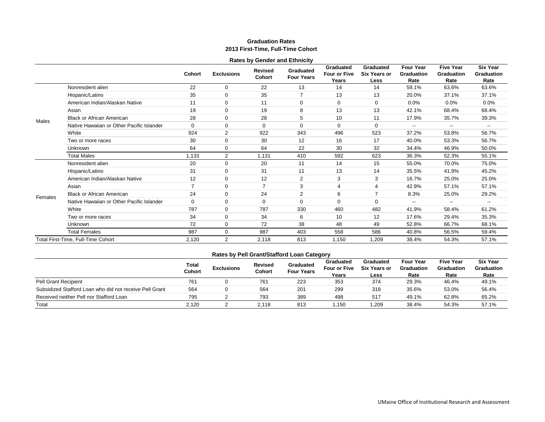#### **Graduation Rates 2013 First-Time, Full-Time Cohort**

|         |                                           |                |                   |                          | <b>Rates by Gender and Ethnicity</b> |                                           |                                          |                                               |                                                                                                                                                              |                                              |
|---------|-------------------------------------------|----------------|-------------------|--------------------------|--------------------------------------|-------------------------------------------|------------------------------------------|-----------------------------------------------|--------------------------------------------------------------------------------------------------------------------------------------------------------------|----------------------------------------------|
|         |                                           | <b>Cohort</b>  | <b>Exclusions</b> | <b>Revised</b><br>Cohort | Graduated<br><b>Four Years</b>       | Graduated<br><b>Four or Five</b><br>Years | Graduated<br><b>Six Years or</b><br>Less | <b>Four Year</b><br><b>Graduation</b><br>Rate | <b>Five Year</b><br><b>Graduation</b><br>Rate                                                                                                                | <b>Six Year</b><br><b>Graduation</b><br>Rate |
|         | Nonresident alien                         | 22             | $\mathbf 0$       | 22                       | 13                                   | 14                                        | 14                                       | 59.1%                                         | 63.6%                                                                                                                                                        | 63.6%                                        |
|         | Hispanic/Latino                           | 35             | 0                 | 35                       | 7                                    | 13                                        | 13                                       | 20.0%                                         | 37.1%                                                                                                                                                        | 37.1%                                        |
|         | American Indian/Alaskan Native            | 11             | $\mathbf 0$       | 11                       | $\mathbf 0$                          | $\mathbf 0$                               | $\mathbf 0$                              | 0.0%                                          | 0.0%                                                                                                                                                         | 0.0%                                         |
|         | Asian                                     | 19             | $\mathbf 0$       | 19                       | 8                                    | 13                                        | 13                                       | 42.1%                                         | 68.4%                                                                                                                                                        | 68.4%                                        |
| Males   | <b>Black or African American</b>          | 28             | 0                 | 28                       | 5                                    | 10                                        | 11                                       | 17.9%                                         | 35.7%                                                                                                                                                        | 39.3%                                        |
|         | Native Hawaiian or Other Pacific Islander | $\Omega$       | $\mathbf 0$       | $\Omega$                 | $\Omega$                             | $\Omega$                                  | $\Omega$                                 | --                                            | $\overline{\phantom{a}}$<br>53.8%<br>53.3%<br>46.9%<br>52.3%<br>70.0%<br>41.9%<br>25.0%<br>57.1%<br>25.0%<br>--<br>58.4%<br>29.4%<br>66.7%<br>56.5%<br>54.3% | $-$                                          |
|         | White                                     | 924            | 2                 | 922                      | 343                                  | 496                                       | 523                                      | 37.2%                                         |                                                                                                                                                              | 56.7%                                        |
|         | Two or more races                         | 30             | $\mathbf 0$       | 30                       | 12                                   | 16                                        | 17                                       | 40.0%                                         |                                                                                                                                                              | 56.7%                                        |
|         | <b>Unknown</b>                            | 64             | $\mathbf 0$       | 64                       | 22                                   | 30                                        | 32                                       | 34.4%                                         |                                                                                                                                                              | 50.0%                                        |
|         | <b>Total Males</b>                        | 1,133          | 2                 | 1,131                    | 410                                  | 592                                       | 623                                      | 36.3%                                         |                                                                                                                                                              | 55.1%                                        |
|         | Nonresident alien                         | 20             | $\mathbf 0$       | 20                       | 11                                   | 14                                        | 15                                       | 55.0%                                         |                                                                                                                                                              | 75.0%                                        |
|         | Hispanic/Latino                           | 31             | $\mathbf 0$       | 31                       | 11                                   | 13                                        | 14                                       | 35.5%                                         |                                                                                                                                                              | 45.2%                                        |
|         | American Indian/Alaskan Native            | 12             | $\mathbf 0$       | 12                       | $\overline{2}$                       | 3                                         | 3                                        | 16.7%                                         |                                                                                                                                                              | 25.0%                                        |
|         | Asian                                     | $\overline{7}$ | $\mathbf 0$       | $\overline{7}$           | 3                                    | 4                                         | $\overline{4}$                           | 42.9%                                         |                                                                                                                                                              | 57.1%                                        |
| Females | <b>Black or African American</b>          | 24             | $\mathbf 0$       | 24                       | $\overline{2}$                       | 6                                         | $\overline{ }$                           | 8.3%                                          |                                                                                                                                                              | 29.2%                                        |
|         | Native Hawaiian or Other Pacific Islander | $\Omega$       | $\mathbf 0$       | $\Omega$                 | $\Omega$                             | $\Omega$                                  | $\Omega$                                 | $-$                                           |                                                                                                                                                              | $\overline{\phantom{a}}$                     |
|         | White                                     | 787            | $\mathbf 0$       | 787                      | 330                                  | 460                                       | 482                                      | 41.9%                                         |                                                                                                                                                              | 61.2%                                        |
|         | Two or more races                         | 34             | $\mathbf 0$       | 34                       | 6                                    | 10                                        | 12                                       | 17.6%                                         |                                                                                                                                                              | 35.3%                                        |
|         | Unknown                                   | 72             | $\mathbf 0$       | 72                       | 38                                   | 48                                        | 49                                       | 52.8%                                         |                                                                                                                                                              | 68.1%                                        |
|         | <b>Total Females</b>                      | 987            | $\mathbf 0$       | 987                      | 403                                  | 558                                       | 586                                      | 40.8%                                         |                                                                                                                                                              | 59.4%                                        |
|         | Total First-Time, Full-Time Cohort        | 2,120          | 2                 | 2,118                    | 813                                  | 1,150                                     | 1,209                                    | 38.4%                                         |                                                                                                                                                              | 57.1%                                        |

|                                                         | <b>Total</b><br>Cohort | <b>Exclusions</b> | <b>Revised</b><br>Cohort | <b>Graduated</b><br><b>Four Years</b> | $\sim$<br>Graduated<br><b>Four or Five</b><br>Years | Graduated<br><b>Six Years or</b><br>Less | <b>Four Year</b><br>Graduation<br>Rate | <b>Five Year</b><br>Graduation<br>Rate | Six Year<br>Graduation<br>Rate |
|---------------------------------------------------------|------------------------|-------------------|--------------------------|---------------------------------------|-----------------------------------------------------|------------------------------------------|----------------------------------------|----------------------------------------|--------------------------------|
| <b>Pell Grant Recipient</b>                             | 761                    |                   | 761                      | 223                                   | 353                                                 | 374                                      | 29.3%                                  | 46.4%                                  | 49.1%                          |
| Subsidized Stafford Loan who did not receive Pell Grant | 564                    |                   | 564                      | 201                                   | 299                                                 | 318                                      | 35.6%                                  | 53.0%                                  | 56.4%                          |
| Received neither Pell nor Stafford Loan                 | 795                    |                   | 793                      | 389                                   | 498                                                 | 517                                      | 49.1%                                  | 62.8%                                  | 65.2%                          |
| Total                                                   | 2.120                  |                   | 2.118                    | 813                                   | .150                                                | 209.                                     | 38.4%                                  | 54.3%                                  | 57.1%                          |